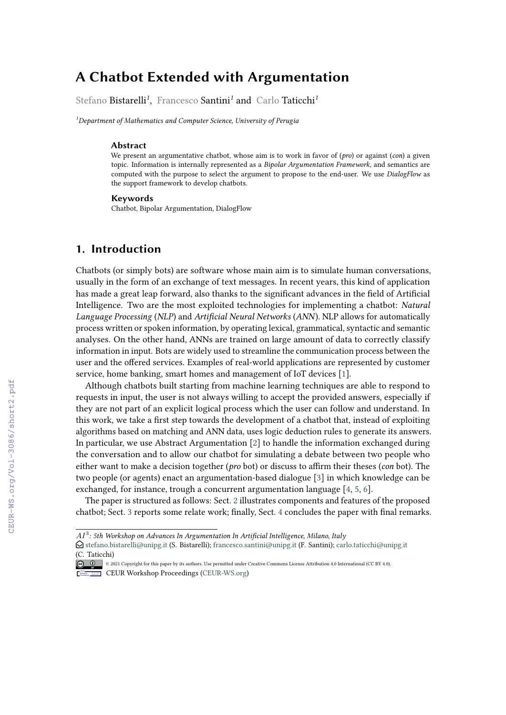# **A Chatbot Extended with Argumentation**

Stefano Bistarelli*<sup>1</sup>* , Francesco Santini*<sup>1</sup>* and Carlo Taticchi*<sup>1</sup>*

*<sup>1</sup>Department of Mathematics and Computer Science, University of Perugia*

#### **Abstract**

We present an argumentative chatbot, whose aim is to work in favor of (*pro*) or against (*con*) a given topic. Information is internally represented as a *Bipolar Argumentation Framework*, and semantics are computed with the purpose to select the argument to propose to the end-user. We use *DialogFlow* as the support framework to develop chatbots.

#### **Keywords**

Chatbot, Bipolar Argumentation, DialogFlow

## **1. Introduction**

Chatbots (or simply bots) are software whose main aim is to simulate human conversations, usually in the form of an exchange of text messages. In recent years, this kind of application has made a great leap forward, also thanks to the significant advances in the field of Artificial Intelligence. Two are the most exploited technologies for implementing a chatbot: *Natural Language Processing* (*NLP*) and *Artificial Neural Networks* (*ANN*). NLP allows for automatically process written or spoken information, by operating lexical, grammatical, syntactic and semantic analyses. On the other hand, ANNs are trained on large amount of data to correctly classify information in input. Bots are widely used to streamline the communication process between the user and the offered services. Examples of real-world applications are represented by customer service, home banking, smart homes and management of IoT devices [\[1\]](#page--1-0).

Although chatbots built starting from machine learning techniques are able to respond to requests in input, the user is not always willing to accept the provided answers, especially if they are not part of an explicit logical process which the user can follow and understand. In this work, we take a first step towards the development of a chatbot that, instead of exploiting algorithms based on matching and ANN data, uses logic deduction rules to generate its answers. In particular, we use Abstract Argumentation [\[2\]](#page--1-1) to handle the information exchanged during the conversation and to allow our chatbot for simulating a debate between two people who either want to make a decision together (*pro* bot) or discuss to affirm their theses (*con* bot). The two people (or agents) enact an argumentation-based dialogue [\[3\]](#page--1-2) in which knowledge can be exchanged, for instance, trough a concurrent argumentation language [\[4,](#page--1-3) [5,](#page--1-4) [6\]](#page--1-5).

The paper is structured as follows: Sect. [2](#page--1-6) illustrates components and features of the proposed chatbot; Sect. [3](#page--1-7) reports some relate work; finally, Sect. [4](#page--1-8) concludes the paper with final remarks.

 $A I^3$ : 5th Workshop on Advances In Argumentation In Artificial Intelligence, Milano, Italy

 $\bigcirc$  [stefano.bistarelli@unipg.it](mailto:stefano.bistarelli@unipg.it) (S. Bistarelli); [francesco.santini@unipg.it](mailto:francesco.santini@unipg.it) (F. Santini); [carlo.taticchi@unipg.it](mailto:carlo.taticchi@unipg.it) [\(C. Taticc](https://creativecommons.org/licenses/by/4.0)hi)

<sup>©</sup> 2021 Copyright for this paper by its authors. Use permitted under Creative Commons License Attribution 4.0 International (CC BY 4.0). CEUR Workshop [Proceedings](http://ceur-ws.org) [\(CEUR-WS.org\)](http://ceur-ws.org)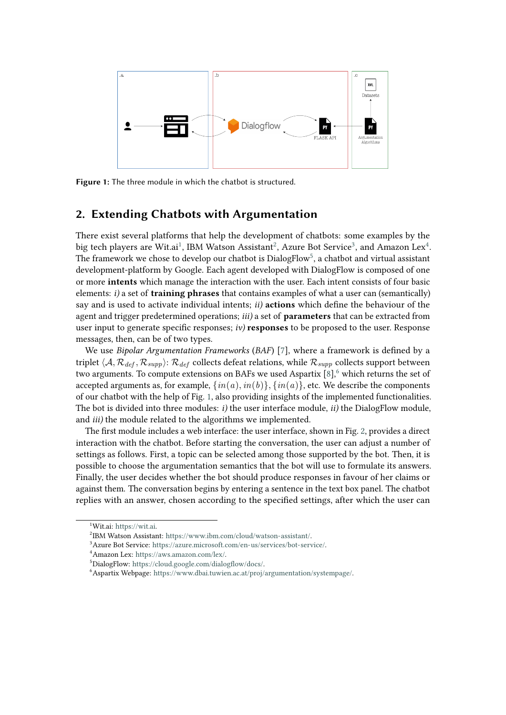

<span id="page-1-6"></span>**Figure 1:** The three module in which the chatbot is structured.

## **2. Extending Chatbots with Argumentation**

There exist several platforms that help the development of chatbots: some examples by the big tech players are Wit.ai $^1$  $^1$ , IBM Watson Assistant $^2$  $^2$ , Azure Bot Service $^3$  $^3$ , and Amazon Lex $^4$  $^4$ . The framework we chose to develop our chatbot is  $\mathrm{DialogFlow}^5,$  $\mathrm{DialogFlow}^5,$  $\mathrm{DialogFlow}^5,$  a chatbot and virtual assistant development-platform by Google. Each agent developed with DialogFlow is composed of one or more **intents** which manage the interaction with the user. Each intent consists of four basic elements: *i)* a set of **training phrases** that contains examples of what a user can (semantically) say and is used to activate individual intents; *ii)* **actions** which define the behaviour of the agent and trigger predetermined operations; *iii)* a set of **parameters** that can be extracted from user input to generate specific responses; *iv)* **responses** to be proposed to the user. Response messages, then, can be of two types.

We use *Bipolar Argumentation Frameworks* (*BAF*) [\[7\]](#page-4-0), where a framework is defined by a triplet  $\langle A, R_{def}, R_{supp} \rangle$ :  $R_{def}$  collects defeat relations, while  $R_{supp}$  collects support between two arguments. To compute extensions on BAFs we used Aspartix  $[8]$ <sup>[6](#page-1-5)</sup> which returns the set of accepted arguments as, for example,  $\{in(a), in(b)\}$ ,  $\{in(a)\}$ , etc. We describe the components of our chatbot with the help of Fig. [1,](#page-1-6) also providing insights of the implemented functionalities. The bot is divided into three modules: *i)* the user interface module, *ii)* the DialogFlow module, and *iii)* the module related to the algorithms we implemented.

The first module includes a web interface: the user interface, shown in Fig. [2,](#page-2-0) provides a direct interaction with the chatbot. Before starting the conversation, the user can adjust a number of settings as follows. First, a topic can be selected among those supported by the bot. Then, it is possible to choose the argumentation semantics that the bot will use to formulate its answers. Finally, the user decides whether the bot should produce responses in favour of her claims or against them. The conversation begins by entering a sentence in the text box panel. The chatbot replies with an answer, chosen according to the specified settings, after which the user can

<span id="page-1-0"></span><sup>1</sup>Wit.ai: [https://wit.ai.](https://wit.ai)

<span id="page-1-1"></span> $^{2}$ IBM Watson Assistant: [https://www.ibm.com/cloud/watson-assistant/.](https://www.ibm.com/cloud/watson-assistant/)

<span id="page-1-2"></span><sup>3</sup>Azure Bot Service: [https://azure.microsoft.com/en-us/services/bot-service/.](https://azure.microsoft.com/en-us/services/bot-service/)

<span id="page-1-3"></span><sup>4</sup>Amazon Lex: [https://aws.amazon.com/lex/.](https://aws.amazon.com/lex/)

<span id="page-1-4"></span><sup>5</sup>DialogFlow: [https://cloud.google.com/dialogflow/docs/.](https://cloud.google.com/dialogflow/docs/)

<span id="page-1-5"></span><sup>6</sup>Aspartix Webpage: [https://www.dbai.tuwien.ac.at/proj/argumentation/systempage/.](https://www.dbai.tuwien.ac.at/proj/argumentation/systempage/)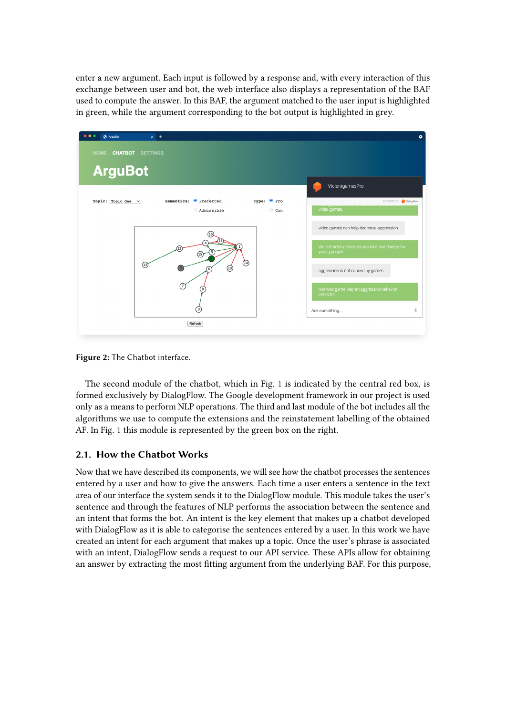enter a new argument. Each input is followed by a response and, with every interaction of this exchange between user and bot, the web interface also displays a representation of the BAF used to compute the answer. In this BAF, the argument matched to the user input is highlighted in green, while the argument corresponding to the bot output is highlighted in grey.



<span id="page-2-0"></span>**Figure 2:** The Chatbot interface.

The second module of the chatbot, which in Fig. [1](#page-1-6) is indicated by the central red box, is formed exclusively by DialogFlow. The Google development framework in our project is used only as a means to perform NLP operations. The third and last module of the bot includes all the algorithms we use to compute the extensions and the reinstatement labelling of the obtained AF. In Fig. [1](#page-1-6) this module is represented by the green box on the right.

#### **2.1. How the Chatbot Works**

Now that we have described its components, we will see how the chatbot processes the sentences entered by a user and how to give the answers. Each time a user enters a sentence in the text area of our interface the system sends it to the DialogFlow module. This module takes the user's sentence and through the features of NLP performs the association between the sentence and an intent that forms the bot. An intent is the key element that makes up a chatbot developed with DialogFlow as it is able to categorise the sentences entered by a user. In this work we have created an intent for each argument that makes up a topic. Once the user's phrase is associated with an intent, DialogFlow sends a request to our API service. These APIs allow for obtaining an answer by extracting the most fitting argument from the underlying BAF. For this purpose,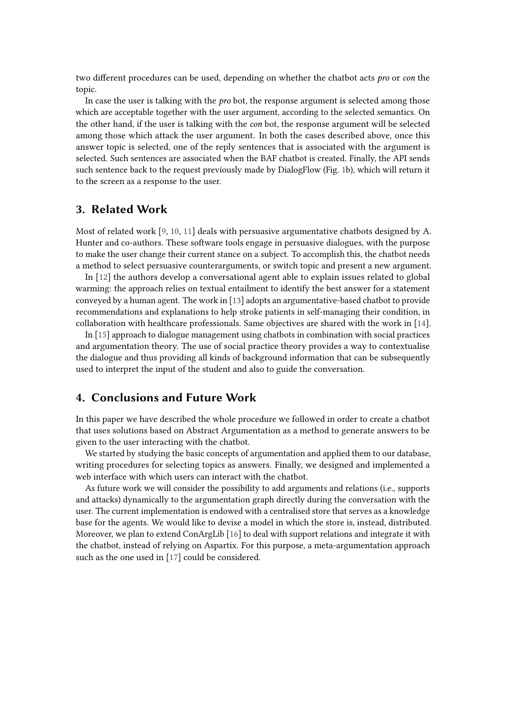two different procedures can be used, depending on whether the chatbot acts *pro* or *con* the topic.

In case the user is talking with the *pro* bot, the response argument is selected among those which are acceptable together with the user argument, according to the selected semantics. On the other hand, if the user is talking with the *con* bot, the response argument will be selected among those which attack the user argument. In both the cases described above, once this answer topic is selected, one of the reply sentences that is associated with the argument is selected. Such sentences are associated when the BAF chatbot is created. Finally, the API sends such sentence back to the request previously made by DialogFlow (Fig. [1b](#page-1-6)), which will return it to the screen as a response to the user.

#### **3. Related Work**

Most of related work [\[9,](#page-4-2) [10,](#page-4-3) [11\]](#page-4-4) deals with persuasive argumentative chatbots designed by A. Hunter and co-authors. These software tools engage in persuasive dialogues, with the purpose to make the user change their current stance on a subject. To accomplish this, the chatbot needs a method to select persuasive counterarguments, or switch topic and present a new argument.

In [\[12\]](#page-4-5) the authors develop a conversational agent able to explain issues related to global warming: the approach relies on textual entailment to identify the best answer for a statement conveyed by a human agent. The work in [\[13\]](#page-4-6) adopts an argumentative-based chatbot to provide recommendations and explanations to help stroke patients in self-managing their condition, in collaboration with healthcare professionals. Same objectives are shared with the work in [\[14\]](#page-4-7).

In [\[15\]](#page-4-8) approach to dialogue management using chatbots in combination with social practices and argumentation theory. The use of social practice theory provides a way to contextualise the dialogue and thus providing all kinds of background information that can be subsequently used to interpret the input of the student and also to guide the conversation.

# **4. Conclusions and Future Work**

In this paper we have described the whole procedure we followed in order to create a chatbot that uses solutions based on Abstract Argumentation as a method to generate answers to be given to the user interacting with the chatbot.

We started by studying the basic concepts of argumentation and applied them to our database, writing procedures for selecting topics as answers. Finally, we designed and implemented a web interface with which users can interact with the chatbot.

As future work we will consider the possibility to add arguments and relations (i.e., supports and attacks) dynamically to the argumentation graph directly during the conversation with the user. The current implementation is endowed with a centralised store that serves as a knowledge base for the agents. We would like to devise a model in which the store is, instead, distributed. Moreover, we plan to extend ConArgLib [\[16\]](#page-4-9) to deal with support relations and integrate it with the chatbot, instead of relying on Aspartix. For this purpose, a meta-argumentation approach such as the one used in [\[17\]](#page-4-10) could be considered.